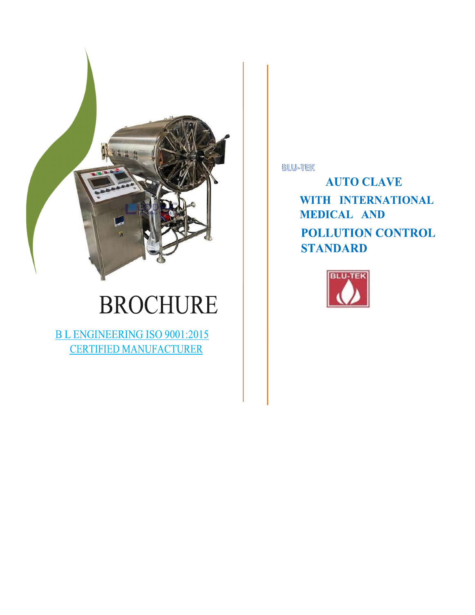

# **BROCHURE**

**BL ENGINEERING ISO 9001:2015 CERTIFIED MANUFACTURER** 

**BLU-TEK** 

**AUTO CLAVE** WITH INTERNATIONAL **MEDICAL AND** POLLUTION CONTROL **STANDARD** 

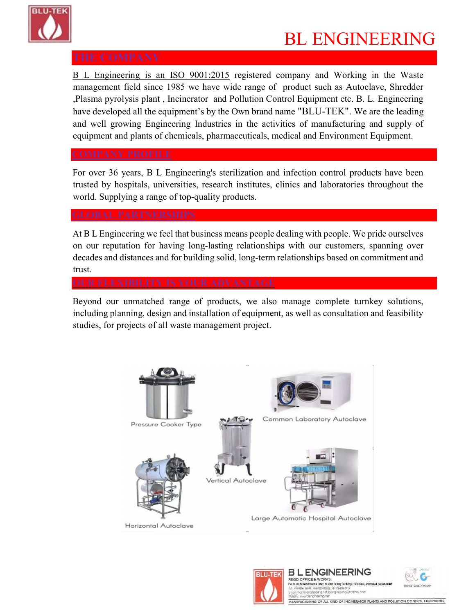

## BL ENGINEERING

B L Engineering is an ISO 9001:2015 registered company and Working in the Waste management field since 1985 we have wide range of product such as Autoclave, Shredder ,Plasma pyrolysis plant , Incinerator and Pollution Control Equipment etc. B. L. Engineering have developed all the equipment's by the Own brand name "BLU-TEK". We are the leading and well growing Engineering Industries in the activities of manufacturing and supply of equipment and plants of chemicals, pharmaceuticals, medical and Environment Equipment.

For over 36 years, B L Engineering's sterilization and infection control products have been trusted by hospitals, universities, research institutes, clinics and laboratories throughout the world. Supplying a range of top-quality products.

At B L Engineering we feel that business means people dealing with people. We pride ourselves on our reputation for having long-lasting relationships with our customers, spanning over decades and distances and for building solid, long-term relationships based on commitment and trust.

Beyond our unmatched range of products, we also manage complete turnkey solutions, including planning. design and installation of equipment, as well as consultation and feasibility studies, for projects of all waste management project.





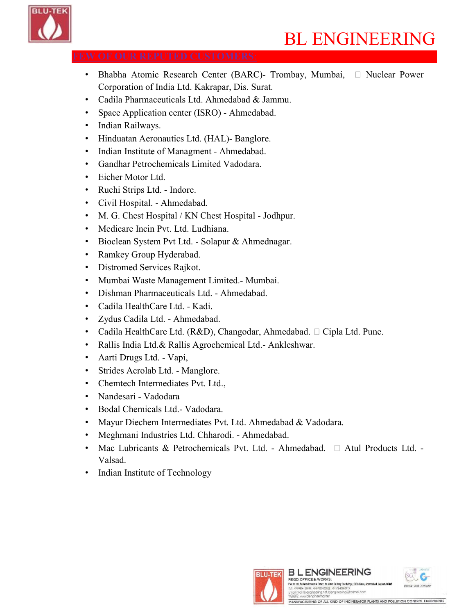

## BL ENGINEERING

- Bhabha Atomic Research Center (BARC)- Trombay, Mumbai,  $\Box$  Nuclear Power Corporation of India Ltd. Kakrapar, Dis. Surat.
- Cadila Pharmaceuticals Ltd. Ahmedabad & Jammu.
- Space Application center (ISRO) Ahmedabad.
- Indian Railways.
- Hinduatan Aeronautics Ltd. (HAL)- Banglore.
- Indian Institute of Managment Ahmedabad.
- Gandhar Petrochemicals Limited Vadodara.
- Eicher Motor Ltd.
- Ruchi Strips Ltd. Indore.
- Civil Hospital. Ahmedabad.
- M. G. Chest Hospital / KN Chest Hospital Jodhpur.
- Medicare Incin Pvt. Ltd. Ludhiana.
- Bioclean System Pvt Ltd. Solapur & Ahmednagar.
- Ramkey Group Hyderabad.
- Distromed Services Rajkot.
- Mumbai Waste Management Limited.- Mumbai.
- Dishman Pharmaceuticals Ltd. Ahmedabad.
- Cadila HealthCare Ltd. Kadi.
- Zydus Cadila Ltd. Ahmedabad.
- Cadila HealthCare Ltd. (R&D), Changodar, Ahmedabad.  $\Box$  Cipla Ltd. Pune.
- Rallis India Ltd.& Rallis Agrochemical Ltd.- Ankleshwar.
- Aarti Drugs Ltd. Vapi,
- Strides Acrolab Ltd. Manglore.
- Chemtech Intermediates Pvt. Ltd.,
- Nandesari Vadodara
- Bodal Chemicals Ltd.- Vadodara.
- Mayur Diechem Intermediates Pvt. Ltd. Ahmedabad & Vadodara.
- Meghmani Industries Ltd. Chharodi. Ahmedabad.
- Mac Lubricants & Petrochemicals Pvt. Ltd. Ahmedabad.  $\Box$  Atul Products Ltd. -Valsad.
- Indian Institute of Technology



Plot No. 01, Sukham Indi

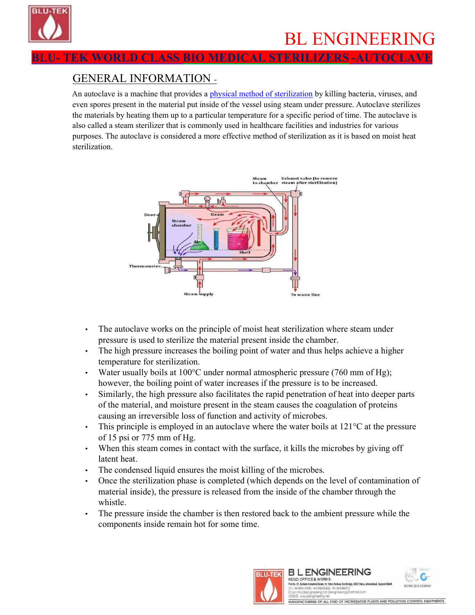

K WORLD CLASS BIO MEDICAL STERILIZERS -AUTOCL

## GENERAL INFORMATION -

An autoclave is a machine that provides a physical method of sterilization by killing bacteria, viruses, and even spores present in the material put inside of the vessel using steam under pressure. Autoclave sterilizes the materials by heating them up to a particular temperature for a specific period of time. The autoclave is also called a steam sterilizer that is commonly used in healthcare facilities and industries for various purposes. The autoclave is considered a more effective method of sterilization as it is based on moist heat sterilization.



- The autoclave works on the principle of moist heat sterilization where steam under pressure is used to sterilize the material present inside the chamber.
- The high pressure increases the boiling point of water and thus helps achieve a higher temperature for sterilization.
- Water usually boils at  $100^{\circ}$ C under normal atmospheric pressure (760 mm of Hg); however, the boiling point of water increases if the pressure is to be increased.
- Similarly, the high pressure also facilitates the rapid penetration of heat into deeper parts of the material, and moisture present in the steam causes the coagulation of proteins causing an irreversible loss of function and activity of microbes.
- This principle is employed in an autoclave where the water boils at  $121^{\circ}$ C at the pressure of 15 psi or 775 mm of Hg.
- When this steam comes in contact with the surface, it kills the microbes by giving off latent heat.
- The condensed liquid ensures the moist killing of the microbes.
- Once the sterilization phase is completed (which depends on the level of contamination of material inside), the pressure is released from the inside of the chamber through the whistle.
- The pressure inside the chamber is then restored back to the ambient pressure while the components inside remain hot for some time.



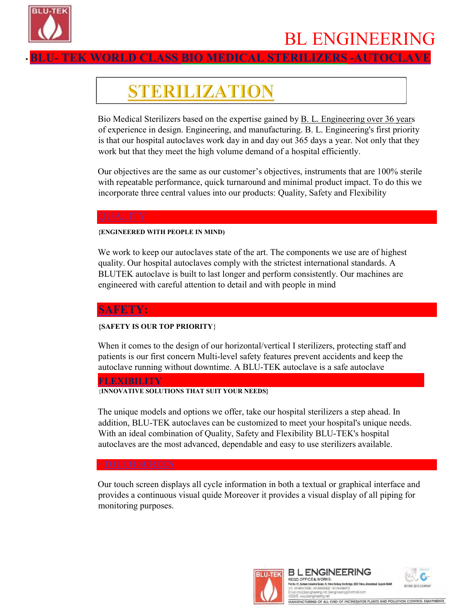

## BL ENGINEERING

**WORLD CLASS BIO MEDICAL STERILIZERS -AUTOCI** 

## STERILIZATION

Bio Medical Sterilizers based on the expertise gained by B. L. Engineering over 36 years of experience in design. Engineering, and manufacturing. B. L. Engineering's first priority is that our hospital autoclaves work day in and day out 365 days a year. Not only that they work but that they meet the high volume demand of a hospital efficiently.

Our objectives are the same as our customer's objectives, instruments that are 100% sterile with repeatable performance, quick turnaround and minimal product impact. To do this we incorporate three central values into our products: Quality, Safety and Flexibility

### {ENGINEERED WITH PEOPLE IN MIND)

We work to keep our autoclaves state of the art. The components we use are of highest quality. Our hospital autoclaves comply with the strictest international standards. A BLUTEK autoclave is built to last longer and perform consistently. Our machines are engineered with careful attention to detail and with people in mind

## SAFETY:

## {SAFETY IS OUR TOP PRIORITY}

When it comes to the design of our horizontal/vertical I sterilizers, protecting staff and patients is our first concern Multi-level safety features prevent accidents and keep the autoclave running without downtime. A BLU-TEK autoclave is a safe autoclave

## **FLEXIBILITY**

### {INNOVATIVE SOLUTIONS THAT SUIT YOUR NEEDS}

The unique models and options we offer, take our hospital sterilizers a step ahead. In addition, BLU-TEK autoclaves can be customized to meet your hospital's unique needs. With an ideal combination of Quality, Safety and Flexibility BLU-TEK's hospital autoclaves are the most advanced, dependable and easy to use sterilizers available.

Our touch screen displays all cycle information in both a textual or graphical interface and provides a continuous visual quide Moreover it provides a visual display of all piping for monitoring purposes.